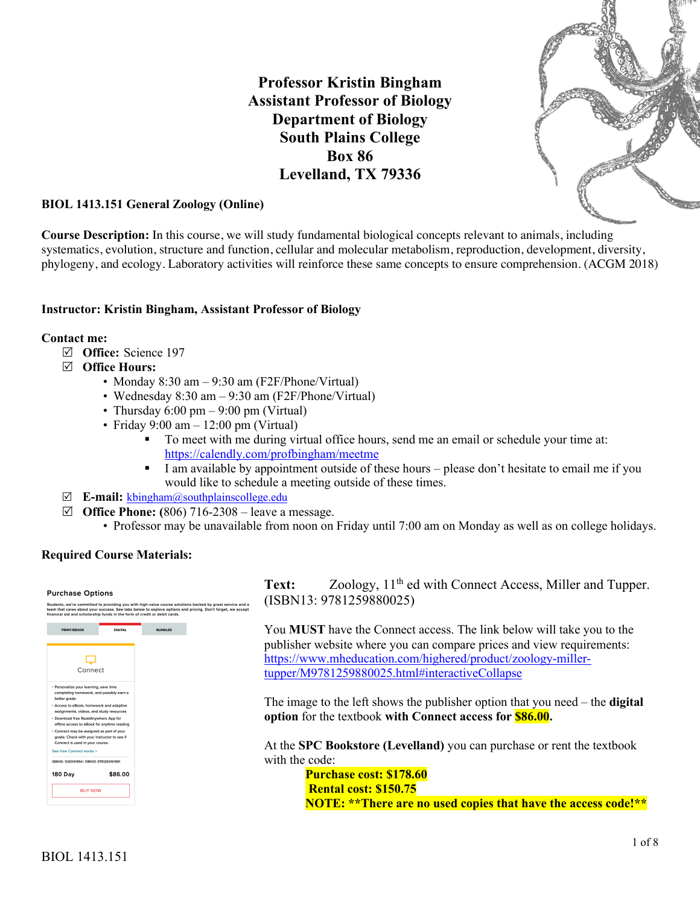**Professor Kristin Bingham Assistant Professor of Biology Department of Biology South Plains College Box 86 Levelland, TX 79336**



### **BIOL 1413.151 General Zoology (Online)**

**Course Description:** In this course, we will study fundamental biological concepts relevant to animals, including systematics, evolution, structure and function, cellular and molecular metabolism, reproduction, development, diversity, phylogeny, and ecology. Laboratory activities will reinforce these same concepts to ensure comprehension. (ACGM 2018)

#### **Instructor: Kristin Bingham, Assistant Professor of Biology**

#### **Contact me:**

- R **Office:** Science 197
- R **Office Hours:**
	- Monday 8:30 am 9:30 am (F2F/Phone/Virtual)
	- Wednesday 8:30 am 9:30 am (F2F/Phone/Virtual)
	- Thursday  $6:00 \text{ pm} 9:00 \text{ pm}$  (Virtual)
	- Friday 9:00 am  $-12:00$  pm (Virtual)
		- § To meet with me during virtual office hours, send me an email or schedule your time at: https://calendly.com/profbingham/meetme
		- I am available by appointment outside of these hours please don't hesitate to email me if you would like to schedule a meeting outside of these times.
- R **E-mail:** kbingham@southplainscollege.edu
- $\boxtimes$  **Office Phone:** (806) 716-2308 leave a message.
	- Professor may be unavailable from noon on Friday until 7:00 am on Monday as well as on college holidays.

#### **Required Course Materials:**



Text: Zoology, 11<sup>th</sup> ed with Connect Access, Miller and Tupper. (ISBN13: 9781259880025)

You **MUST** have the Connect access. The link below will take you to the publisher website where you can compare prices and view requirements: https://www.mheducation.com/highered/product/zoology-millertupper/M9781259880025.html#interactiveCollapse

The image to the left shows the publisher option that you need – the **digital option** for the textbook **with Connect access for \$86.00.**

At the **SPC Bookstore (Levelland)** you can purchase or rent the textbook with the code:

**Purchase cost: \$178.60 Rental cost: \$150.75 NOTE: \*\*There are no used copies that have the access code!\*\***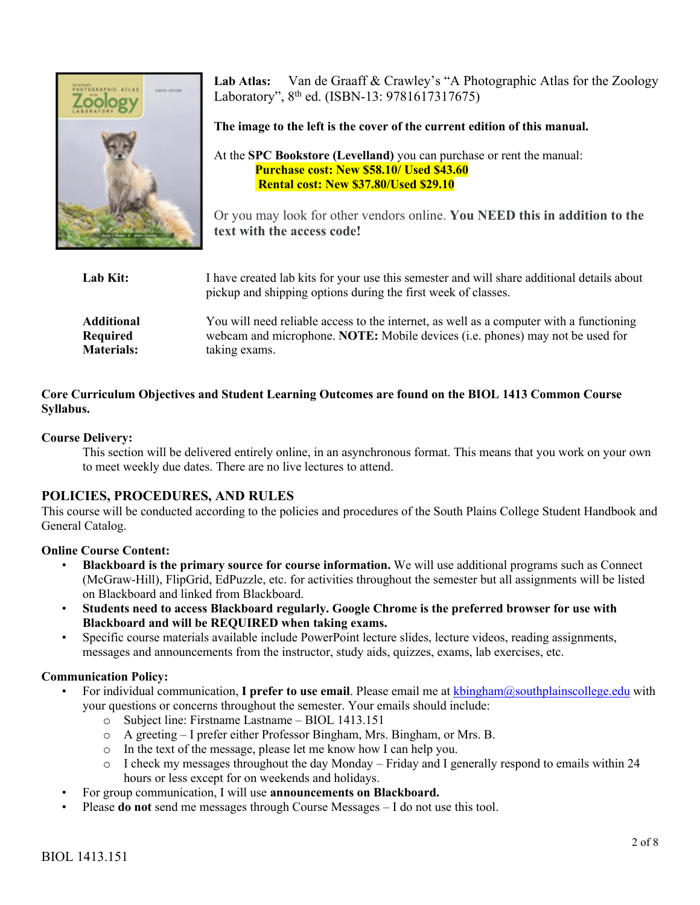

**Lab Atlas:** Van de Graaff & Crawley's "A Photographic Atlas for the Zoology Laboratory", 8th ed. (ISBN-13: 9781617317675)

**The image to the left is the cover of the current edition of this manual.**

At the **SPC Bookstore (Levelland)** you can purchase or rent the manual: **Purchase cost: New \$58.10/ Used \$43.60 Rental cost: New \$37.80/Used \$29.10**

Or you may look for other vendors online. **You NEED this in addition to the text with the access code!**

| Lab Kit:          | I have created lab kits for your use this semester and will share additional details about<br>pickup and shipping options during the first week of classes. |
|-------------------|-------------------------------------------------------------------------------------------------------------------------------------------------------------|
| <b>Additional</b> | You will need reliable access to the internet, as well as a computer with a functioning                                                                     |
| Required          | webcam and microphone. NOTE: Mobile devices (i.e. phones) may not be used for                                                                               |
| <b>Materials:</b> | taking exams.                                                                                                                                               |

# **Core Curriculum Objectives and Student Learning Outcomes are found on the BIOL 1413 Common Course Syllabus.**

## **Course Delivery:**

This section will be delivered entirely online, in an asynchronous format. This means that you work on your own to meet weekly due dates. There are no live lectures to attend.

# **POLICIES, PROCEDURES, AND RULES**

This course will be conducted according to the policies and procedures of the South Plains College Student Handbook and General Catalog.

### **Online Course Content:**

- **Blackboard is the primary source for course information.** We will use additional programs such as Connect (McGraw-Hill), FlipGrid, EdPuzzle, etc. for activities throughout the semester but all assignments will be listed on Blackboard and linked from Blackboard.
- **Students need to access Blackboard regularly. Google Chrome is the preferred browser for use with Blackboard and will be REQUIRED when taking exams.**
- Specific course materials available include PowerPoint lecture slides, lecture videos, reading assignments, messages and announcements from the instructor, study aids, quizzes, exams, lab exercises, etc.

# **Communication Policy:**

- For individual communication, **I prefer to use email**. Please email me at kbingham@southplainscollege.edu with your questions or concerns throughout the semester. Your emails should include:
	- o Subject line: Firstname Lastname BIOL 1413.151
	- o A greeting I prefer either Professor Bingham, Mrs. Bingham, or Mrs. B.
	- o In the text of the message, please let me know how I can help you.
	- $\circ$  I check my messages throughout the day Monday Friday and I generally respond to emails within 24 hours or less except for on weekends and holidays.
- For group communication, I will use **announcements on Blackboard.**
- Please **do not** send me messages through Course Messages I do not use this tool.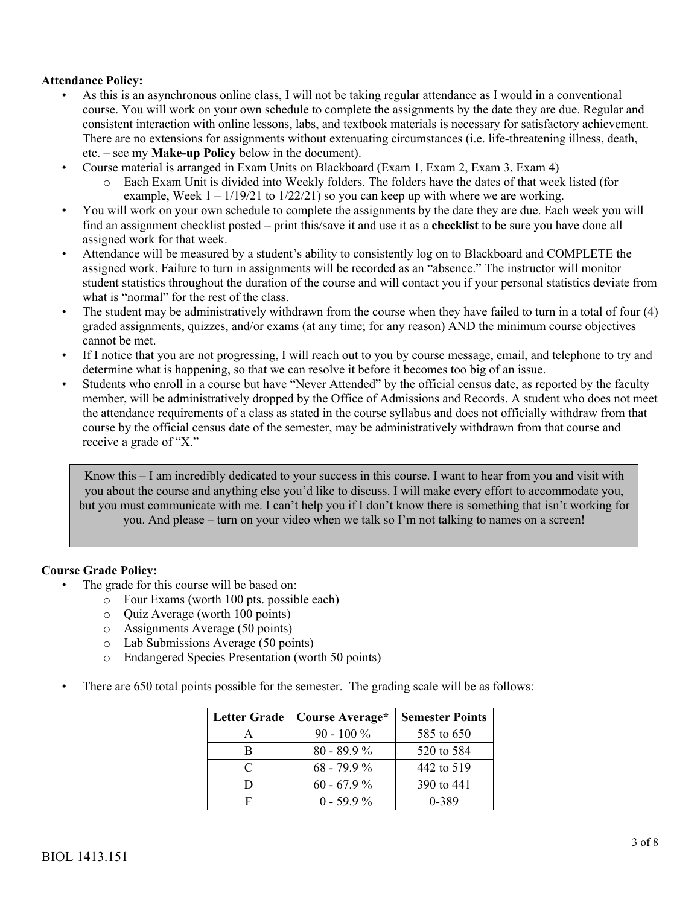## **Attendance Policy:**

- As this is an asynchronous online class, I will not be taking regular attendance as I would in a conventional course. You will work on your own schedule to complete the assignments by the date they are due. Regular and consistent interaction with online lessons, labs, and textbook materials is necessary for satisfactory achievement. There are no extensions for assignments without extenuating circumstances (i.e. life-threatening illness, death, etc. – see my **Make-up Policy** below in the document).
- Course material is arranged in Exam Units on Blackboard (Exam 1, Exam 2, Exam 3, Exam 4)
	- o Each Exam Unit is divided into Weekly folders. The folders have the dates of that week listed (for example, Week  $1 - 1/19/21$  to  $1/22/21$ ) so you can keep up with where we are working.
- You will work on your own schedule to complete the assignments by the date they are due. Each week you will find an assignment checklist posted – print this/save it and use it as a **checklist** to be sure you have done all assigned work for that week.
- Attendance will be measured by a student's ability to consistently log on to Blackboard and COMPLETE the assigned work. Failure to turn in assignments will be recorded as an "absence." The instructor will monitor student statistics throughout the duration of the course and will contact you if your personal statistics deviate from what is "normal" for the rest of the class.
- The student may be administratively withdrawn from the course when they have failed to turn in a total of four (4) graded assignments, quizzes, and/or exams (at any time; for any reason) AND the minimum course objectives cannot be met.
- If I notice that you are not progressing, I will reach out to you by course message, email, and telephone to try and determine what is happening, so that we can resolve it before it becomes too big of an issue.
- Students who enroll in a course but have "Never Attended" by the official census date, as reported by the faculty member, will be administratively dropped by the Office of Admissions and Records. A student who does not meet the attendance requirements of a class as stated in the course syllabus and does not officially withdraw from that course by the official census date of the semester, may be administratively withdrawn from that course and receive a grade of "X."

Know this – I am incredibly dedicated to your success in this course. I want to hear from you and visit with you about the course and anything else you'd like to discuss. I will make every effort to accommodate you, but you must communicate with me. I can't help you if I don't know there is something that isn't working for you. And please – turn on your video when we talk so I'm not talking to names on a screen!

### **Course Grade Policy:**

- The grade for this course will be based on:
	- o Four Exams (worth 100 pts. possible each)
	- o Quiz Average (worth 100 points)
	- o Assignments Average (50 points)
	- o Lab Submissions Average (50 points)
	- o Endangered Species Presentation (worth 50 points)
- There are 650 total points possible for the semester. The grading scale will be as follows:

| <b>Letter Grade</b> | Course Average* | <b>Semester Points</b> |
|---------------------|-----------------|------------------------|
|                     | $90 - 100\%$    | 585 to 650             |
| в                   | $80 - 89.9\%$   | 520 to 584             |
| $\subset$           | $68 - 79.9 %$   | 442 to 519             |
|                     | $60 - 67.9\%$   | 390 to 441             |
|                     | $0 - 59.9\%$    | 0-389                  |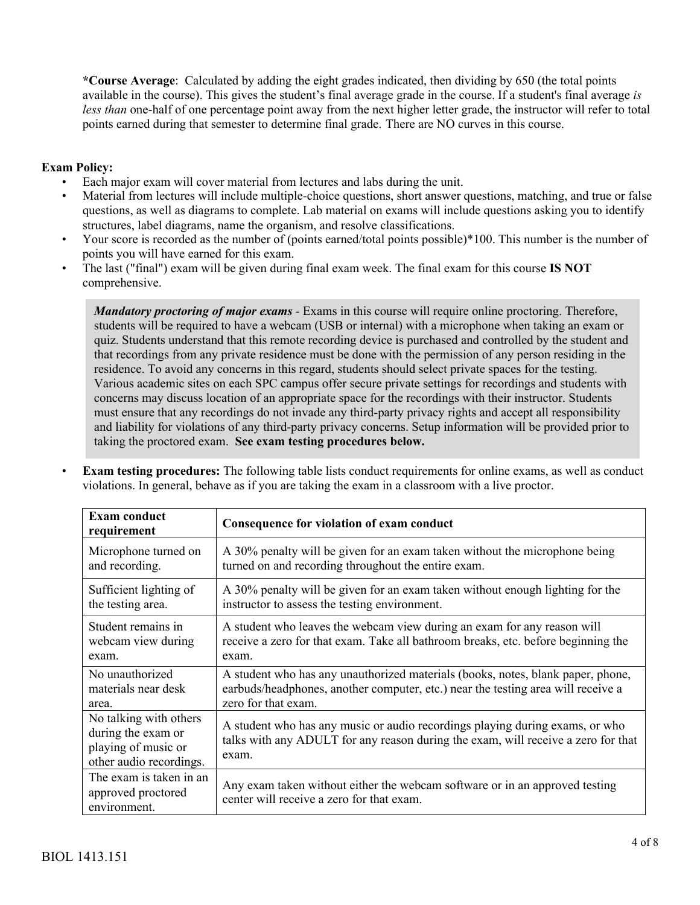**\*Course Average**: Calculated by adding the eight grades indicated, then dividing by 650 (the total points available in the course). This gives the student's final average grade in the course. If a student's final average *is less than* one-half of one percentage point away from the next higher letter grade, the instructor will refer to total points earned during that semester to determine final grade. There are NO curves in this course.

# **Exam Policy:**

- Each major exam will cover material from lectures and labs during the unit.
- Material from lectures will include multiple-choice questions, short answer questions, matching, and true or false questions, as well as diagrams to complete. Lab material on exams will include questions asking you to identify structures, label diagrams, name the organism, and resolve classifications.
- Your score is recorded as the number of (points earned/total points possible)\*100. This number is the number of points you will have earned for this exam.
- The last ("final") exam will be given during final exam week. The final exam for this course **IS NOT**  comprehensive.

*Mandatory proctoring of major exams -* Exams in this course will require online proctoring. Therefore, students will be required to have a webcam (USB or internal) with a microphone when taking an exam or quiz. Students understand that this remote recording device is purchased and controlled by the student and that recordings from any private residence must be done with the permission of any person residing in the residence. To avoid any concerns in this regard, students should select private spaces for the testing. Various academic sites on each SPC campus offer secure private settings for recordings and students with concerns may discuss location of an appropriate space for the recordings with their instructor. Students must ensure that any recordings do not invade any third-party privacy rights and accept all responsibility and liability for violations of any third-party privacy concerns. Setup information will be provided prior to taking the proctored exam. **See exam testing procedures below.**

| <b>Exam conduct</b><br>requirement                                                             | Consequence for violation of exam conduct                                                                                                                                  |  |
|------------------------------------------------------------------------------------------------|----------------------------------------------------------------------------------------------------------------------------------------------------------------------------|--|
| Microphone turned on                                                                           | A 30% penalty will be given for an exam taken without the microphone being                                                                                                 |  |
| and recording.                                                                                 | turned on and recording throughout the entire exam.                                                                                                                        |  |
| Sufficient lighting of                                                                         | A 30% penalty will be given for an exam taken without enough lighting for the                                                                                              |  |
| the testing area.                                                                              | instructor to assess the testing environment.                                                                                                                              |  |
| Student remains in                                                                             | A student who leaves the webcam view during an exam for any reason will                                                                                                    |  |
| webcam view during                                                                             | receive a zero for that exam. Take all bathroom breaks, etc. before beginning the                                                                                          |  |
| exam.                                                                                          | exam.                                                                                                                                                                      |  |
| No unauthorized                                                                                | A student who has any unauthorized materials (books, notes, blank paper, phone,                                                                                            |  |
| materials near desk                                                                            | earbuds/headphones, another computer, etc.) near the testing area will receive a                                                                                           |  |
| area.                                                                                          | zero for that exam.                                                                                                                                                        |  |
| No talking with others<br>during the exam or<br>playing of music or<br>other audio recordings. | A student who has any music or audio recordings playing during exams, or who<br>talks with any ADULT for any reason during the exam, will receive a zero for that<br>exam. |  |
| The exam is taken in an<br>approved proctored<br>environment.                                  | Any exam taken without either the webcam software or in an approved testing<br>center will receive a zero for that exam.                                                   |  |

• **Exam testing procedures:** The following table lists conduct requirements for online exams, as well as conduct violations. In general, behave as if you are taking the exam in a classroom with a live proctor.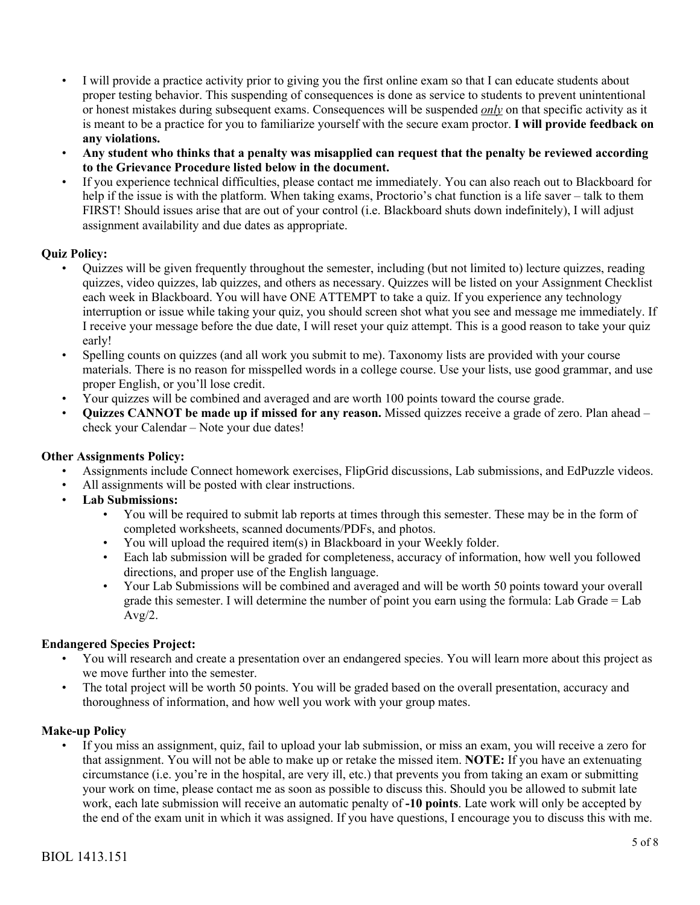- I will provide a practice activity prior to giving you the first online exam so that I can educate students about proper testing behavior. This suspending of consequences is done as service to students to prevent unintentional or honest mistakes during subsequent exams. Consequences will be suspended *only* on that specific activity as it is meant to be a practice for you to familiarize yourself with the secure exam proctor. **I will provide feedback on any violations.**
- **Any student who thinks that a penalty was misapplied can request that the penalty be reviewed according to the Grievance Procedure listed below in the document.**
- If you experience technical difficulties, please contact me immediately. You can also reach out to Blackboard for help if the issue is with the platform. When taking exams, Proctorio's chat function is a life saver – talk to them FIRST! Should issues arise that are out of your control (i.e. Blackboard shuts down indefinitely), I will adjust assignment availability and due dates as appropriate.

## **Quiz Policy:**

- Quizzes will be given frequently throughout the semester, including (but not limited to) lecture quizzes, reading quizzes, video quizzes, lab quizzes, and others as necessary. Quizzes will be listed on your Assignment Checklist each week in Blackboard. You will have ONE ATTEMPT to take a quiz. If you experience any technology interruption or issue while taking your quiz, you should screen shot what you see and message me immediately. If I receive your message before the due date, I will reset your quiz attempt. This is a good reason to take your quiz early!
- Spelling counts on quizzes (and all work you submit to me). Taxonomy lists are provided with your course materials. There is no reason for misspelled words in a college course. Use your lists, use good grammar, and use proper English, or you'll lose credit.
- Your quizzes will be combined and averaged and are worth 100 points toward the course grade.
- **Quizzes CANNOT be made up if missed for any reason.** Missed quizzes receive a grade of zero. Plan ahead check your Calendar – Note your due dates!

### **Other Assignments Policy:**

- Assignments include Connect homework exercises, FlipGrid discussions, Lab submissions, and EdPuzzle videos.
- All assignments will be posted with clear instructions.
- **Lab Submissions:**
	- You will be required to submit lab reports at times through this semester. These may be in the form of completed worksheets, scanned documents/PDFs, and photos.
	- You will upload the required item(s) in Blackboard in your Weekly folder.
	- Each lab submission will be graded for completeness, accuracy of information, how well you followed directions, and proper use of the English language.
	- Your Lab Submissions will be combined and averaged and will be worth 50 points toward your overall grade this semester. I will determine the number of point you earn using the formula: Lab Grade = Lab  $Avg/2$ .

# **Endangered Species Project:**

- You will research and create a presentation over an endangered species. You will learn more about this project as we move further into the semester.
- The total project will be worth 50 points. You will be graded based on the overall presentation, accuracy and thoroughness of information, and how well you work with your group mates.

### **Make-up Policy**

• If you miss an assignment, quiz, fail to upload your lab submission, or miss an exam, you will receive a zero for that assignment. You will not be able to make up or retake the missed item. **NOTE:** If you have an extenuating circumstance (i.e. you're in the hospital, are very ill, etc.) that prevents you from taking an exam or submitting your work on time, please contact me as soon as possible to discuss this. Should you be allowed to submit late work, each late submission will receive an automatic penalty of **-10 points**. Late work will only be accepted by the end of the exam unit in which it was assigned. If you have questions, I encourage you to discuss this with me.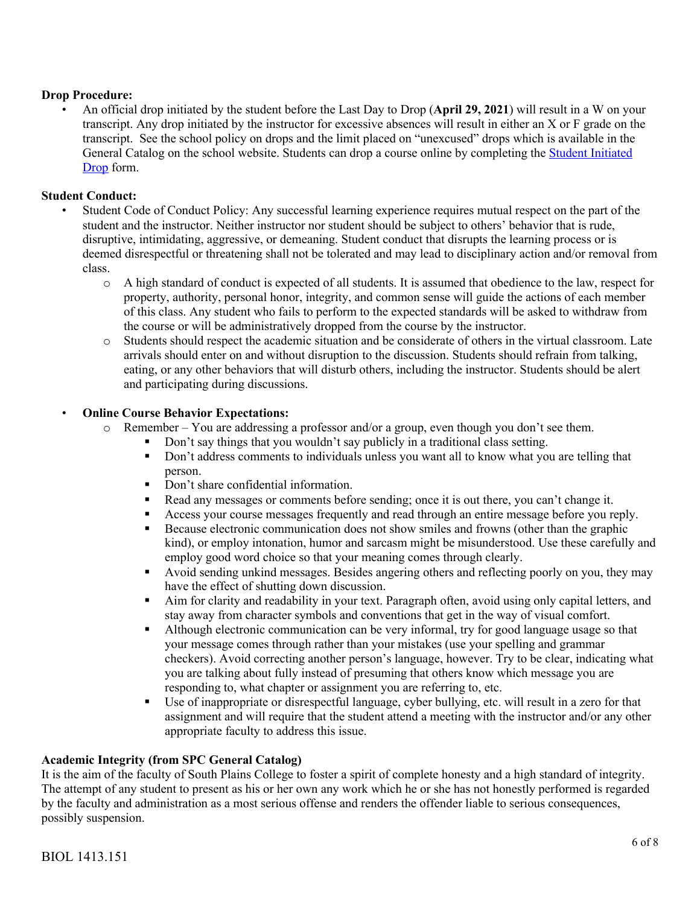## **Drop Procedure:**

• An official drop initiated by the student before the Last Day to Drop (**April 29, 2021**) will result in a W on your transcript. Any drop initiated by the instructor for excessive absences will result in either an X or F grade on the transcript. See the school policy on drops and the limit placed on "unexcused" drops which is available in the General Catalog on the school website. Students can drop a course online by completing the Student Initiated Drop form.

### **Student Conduct:**

- Student Code of Conduct Policy: Any successful learning experience requires mutual respect on the part of the student and the instructor. Neither instructor nor student should be subject to others' behavior that is rude, disruptive, intimidating, aggressive, or demeaning. Student conduct that disrupts the learning process or is deemed disrespectful or threatening shall not be tolerated and may lead to disciplinary action and/or removal from class.
	- o A high standard of conduct is expected of all students. It is assumed that obedience to the law, respect for property, authority, personal honor, integrity, and common sense will guide the actions of each member of this class. Any student who fails to perform to the expected standards will be asked to withdraw from the course or will be administratively dropped from the course by the instructor.
	- o Students should respect the academic situation and be considerate of others in the virtual classroom. Late arrivals should enter on and without disruption to the discussion. Students should refrain from talking, eating, or any other behaviors that will disturb others, including the instructor. Students should be alert and participating during discussions.

## • **Online Course Behavior Expectations:**

- o Remember You are addressing a professor and/or a group, even though you don't see them.
	- Don't say things that you wouldn't say publicly in a traditional class setting.
	- Don't address comments to individuals unless you want all to know what you are telling that person.
	- Don't share confidential information.
	- Read any messages or comments before sending; once it is out there, you can't change it.
	- **•** Access your course messages frequently and read through an entire message before you reply.
	- Because electronic communication does not show smiles and frowns (other than the graphic kind), or employ intonation, humor and sarcasm might be misunderstood. Use these carefully and employ good word choice so that your meaning comes through clearly.
	- Avoid sending unkind messages. Besides angering others and reflecting poorly on you, they may have the effect of shutting down discussion.
	- § Aim for clarity and readability in your text. Paragraph often, avoid using only capital letters, and stay away from character symbols and conventions that get in the way of visual comfort.
	- Although electronic communication can be very informal, try for good language usage so that your message comes through rather than your mistakes (use your spelling and grammar checkers). Avoid correcting another person's language, however. Try to be clear, indicating what you are talking about fully instead of presuming that others know which message you are responding to, what chapter or assignment you are referring to, etc.
	- § Use of inappropriate or disrespectful language, cyber bullying, etc. will result in a zero for that assignment and will require that the student attend a meeting with the instructor and/or any other appropriate faculty to address this issue.

# **Academic Integrity (from SPC General Catalog)**

It is the aim of the faculty of South Plains College to foster a spirit of complete honesty and a high standard of integrity. The attempt of any student to present as his or her own any work which he or she has not honestly performed is regarded by the faculty and administration as a most serious offense and renders the offender liable to serious consequences, possibly suspension.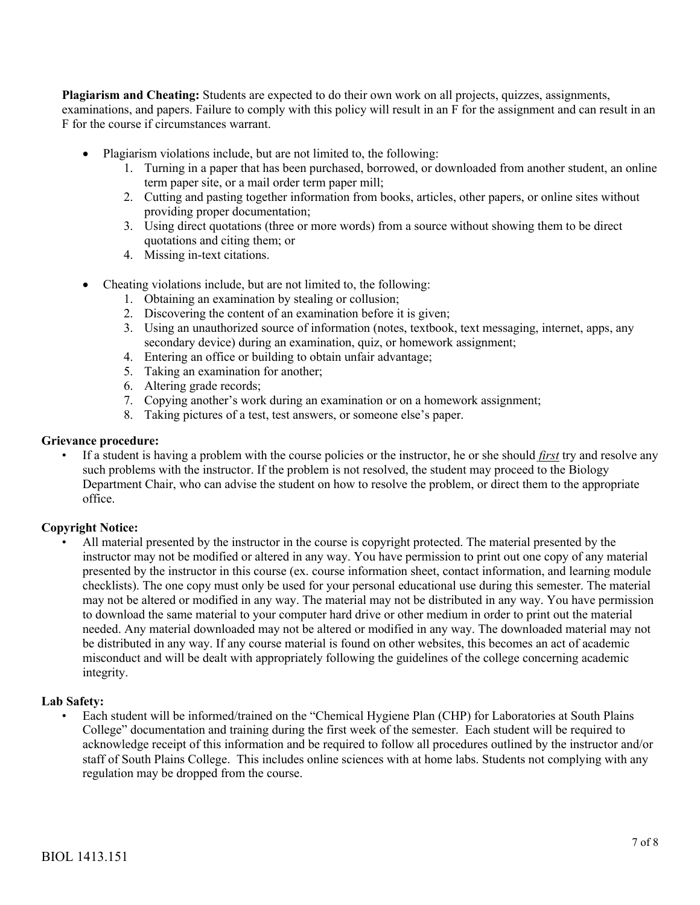**Plagiarism and Cheating:** Students are expected to do their own work on all projects, quizzes, assignments, examinations, and papers. Failure to comply with this policy will result in an F for the assignment and can result in an F for the course if circumstances warrant.

- Plagiarism violations include, but are not limited to, the following:
	- 1. Turning in a paper that has been purchased, borrowed, or downloaded from another student, an online term paper site, or a mail order term paper mill;
	- 2. Cutting and pasting together information from books, articles, other papers, or online sites without providing proper documentation;
	- 3. Using direct quotations (three or more words) from a source without showing them to be direct quotations and citing them; or
	- 4. Missing in-text citations.
- Cheating violations include, but are not limited to, the following:
	- 1. Obtaining an examination by stealing or collusion;
	- 2. Discovering the content of an examination before it is given;
	- 3. Using an unauthorized source of information (notes, textbook, text messaging, internet, apps, any secondary device) during an examination, quiz, or homework assignment;
	- 4. Entering an office or building to obtain unfair advantage;
	- 5. Taking an examination for another;
	- 6. Altering grade records;
	- 7. Copying another's work during an examination or on a homework assignment;
	- 8. Taking pictures of a test, test answers, or someone else's paper.

### **Grievance procedure:**

• If a student is having a problem with the course policies or the instructor, he or she should *first* try and resolve any such problems with the instructor. If the problem is not resolved, the student may proceed to the Biology Department Chair, who can advise the student on how to resolve the problem, or direct them to the appropriate office.

### **Copyright Notice:**

• All material presented by the instructor in the course is copyright protected. The material presented by the instructor may not be modified or altered in any way. You have permission to print out one copy of any material presented by the instructor in this course (ex. course information sheet, contact information, and learning module checklists). The one copy must only be used for your personal educational use during this semester. The material may not be altered or modified in any way. The material may not be distributed in any way. You have permission to download the same material to your computer hard drive or other medium in order to print out the material needed. Any material downloaded may not be altered or modified in any way. The downloaded material may not be distributed in any way. If any course material is found on other websites, this becomes an act of academic misconduct and will be dealt with appropriately following the guidelines of the college concerning academic integrity.

#### **Lab Safety:**

• Each student will be informed/trained on the "Chemical Hygiene Plan (CHP) for Laboratories at South Plains College" documentation and training during the first week of the semester. Each student will be required to acknowledge receipt of this information and be required to follow all procedures outlined by the instructor and/or staff of South Plains College. This includes online sciences with at home labs. Students not complying with any regulation may be dropped from the course.